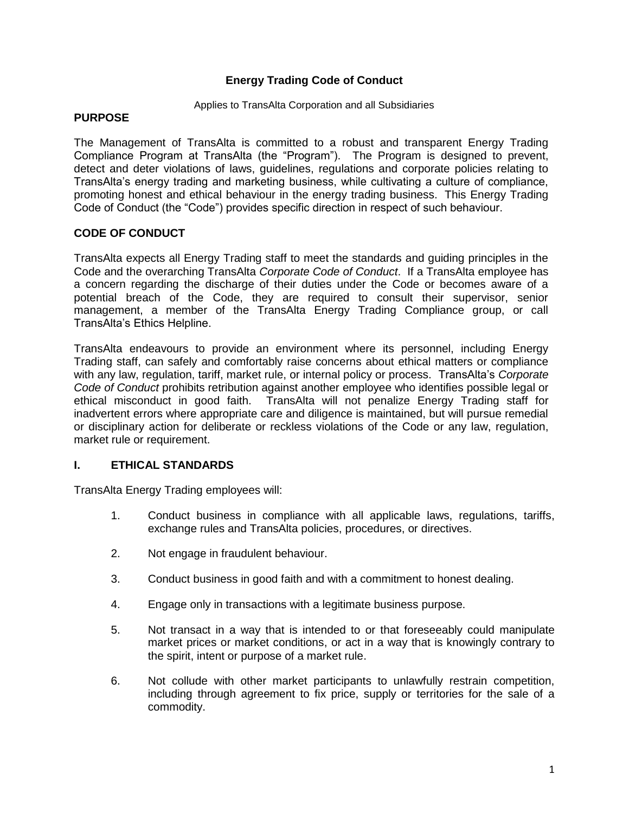# **Energy Trading Code of Conduct**

#### Applies to TransAlta Corporation and all Subsidiaries

## **PURPOSE**

The Management of TransAlta is committed to a robust and transparent Energy Trading Compliance Program at TransAlta (the "Program"). The Program is designed to prevent, detect and deter violations of laws, guidelines, regulations and corporate policies relating to TransAlta's energy trading and marketing business, while cultivating a culture of compliance, promoting honest and ethical behaviour in the energy trading business. This Energy Trading Code of Conduct (the "Code") provides specific direction in respect of such behaviour.

## **CODE OF CONDUCT**

TransAlta expects all Energy Trading staff to meet the standards and guiding principles in the Code and the overarching TransAlta *Corporate Code of Conduct*. If a TransAlta employee has a concern regarding the discharge of their duties under the Code or becomes aware of a potential breach of the Code, they are required to consult their supervisor, senior management, a member of the TransAlta Energy Trading Compliance group, or call TransAlta's Ethics Helpline.

TransAlta endeavours to provide an environment where its personnel, including Energy Trading staff, can safely and comfortably raise concerns about ethical matters or compliance with any law, regulation, tariff, market rule, or internal policy or process. TransAlta's *Corporate Code of Conduct* prohibits retribution against another employee who identifies possible legal or ethical misconduct in good faith. TransAlta will not penalize Energy Trading staff for inadvertent errors where appropriate care and diligence is maintained, but will pursue remedial or disciplinary action for deliberate or reckless violations of the Code or any law, regulation, market rule or requirement.

#### **I. ETHICAL STANDARDS**

TransAlta Energy Trading employees will:

- 1. Conduct business in compliance with all applicable laws, regulations, tariffs, exchange rules and TransAlta policies, procedures, or directives.
- 2. Not engage in fraudulent behaviour.
- 3. Conduct business in good faith and with a commitment to honest dealing.
- 4. Engage only in transactions with a legitimate business purpose.
- 5. Not transact in a way that is intended to or that foreseeably could manipulate market prices or market conditions, or act in a way that is knowingly contrary to the spirit, intent or purpose of a market rule.
- 6. Not collude with other market participants to unlawfully restrain competition, including through agreement to fix price, supply or territories for the sale of a commodity.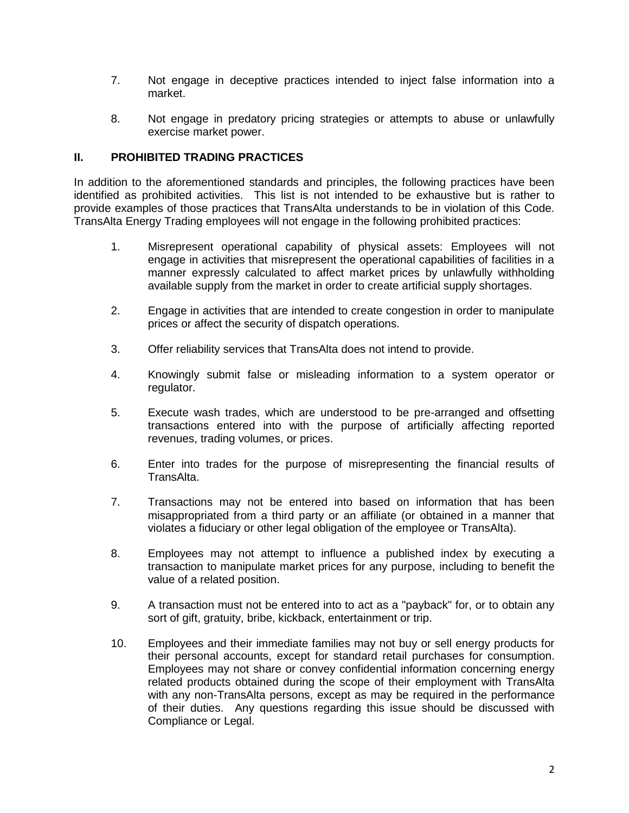- 7. Not engage in deceptive practices intended to inject false information into a market.
- 8. Not engage in predatory pricing strategies or attempts to abuse or unlawfully exercise market power.

# **II. PROHIBITED TRADING PRACTICES**

In addition to the aforementioned standards and principles, the following practices have been identified as prohibited activities. This list is not intended to be exhaustive but is rather to provide examples of those practices that TransAlta understands to be in violation of this Code. TransAlta Energy Trading employees will not engage in the following prohibited practices:

- 1. Misrepresent operational capability of physical assets: Employees will not engage in activities that misrepresent the operational capabilities of facilities in a manner expressly calculated to affect market prices by unlawfully withholding available supply from the market in order to create artificial supply shortages.
- 2. Engage in activities that are intended to create congestion in order to manipulate prices or affect the security of dispatch operations.
- 3. Offer reliability services that TransAlta does not intend to provide.
- 4. Knowingly submit false or misleading information to a system operator or regulator.
- 5. Execute wash trades, which are understood to be pre-arranged and offsetting transactions entered into with the purpose of artificially affecting reported revenues, trading volumes, or prices.
- 6. Enter into trades for the purpose of misrepresenting the financial results of TransAlta.
- 7. Transactions may not be entered into based on information that has been misappropriated from a third party or an affiliate (or obtained in a manner that violates a fiduciary or other legal obligation of the employee or TransAlta).
- 8. Employees may not attempt to influence a published index by executing a transaction to manipulate market prices for any purpose, including to benefit the value of a related position.
- 9. A transaction must not be entered into to act as a "payback" for, or to obtain any sort of gift, gratuity, bribe, kickback, entertainment or trip.
- 10. Employees and their immediate families may not buy or sell energy products for their personal accounts, except for standard retail purchases for consumption. Employees may not share or convey confidential information concerning energy related products obtained during the scope of their employment with TransAlta with any non-TransAlta persons, except as may be required in the performance of their duties. Any questions regarding this issue should be discussed with Compliance or Legal.